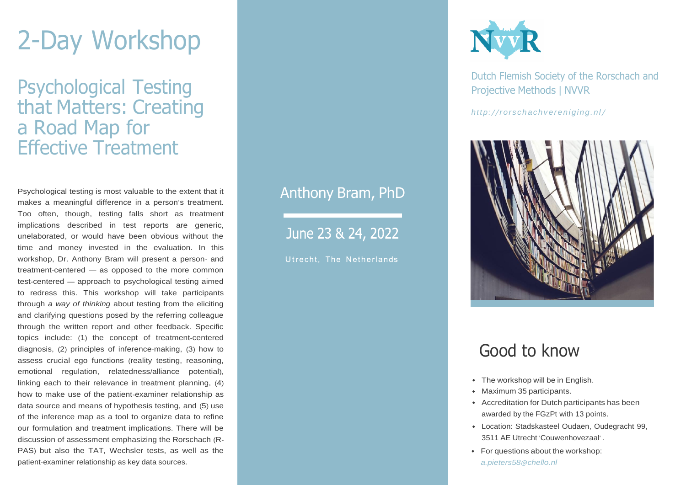# 2-Day Workshop

Psychological Testing that Matters: Creating a Road Map for Effective Treatment

Psychological testing is most valuable to the extent that it makes a meaningful difference in a person's treatment. Too often, though, testing falls short as treatment implications described in test reports are generic, unelaborated, or would have been obvious without the time and money invested in the evaluation. In this workshop, Dr. Anthony Bram will present a person- and treatment-centered — as opposed to the more common test-centered — approach to psychological testing aimed to redress this. This workshop will take participants through *a way of thinking* about testing from the eliciting and clarifying questions posed by the referring colleague through the written report and other feedback. Specific topics include: (1) the concept of treatment-centered diagnosis, (2) principles of inference-making, (3) how to assess crucial ego functions (reality testing, reasoning, emotional regulation, relatedness/alliance potential), linking each to their relevance in treatment planning, (4) how to make use of the patient-examiner relationship as data source and means of hypothesis testing, and (5) use of the inference map as a tool to organize data to refine our formulation and treatment implications. There will be discussion of assessment emphasizing the Rorschach (R-PAS) but also the TAT, Wechsler tests, as well as the patient-examiner relationship as key data sources.

### Anthony Bram, PhD

June 23 & 24, 2022

Utrecht, The Netherlands



Dutch Flemish Society of the Rorschach and Projective Methods | NVVR

*http:/ /[rorsc hac hv ereniging.nl](http://rorschachvereniging.nl/)[/](http://rorschachvereniging.nl/)*



### Good to know

- The workshop will be in English.
- Maximum 35 participants.
- Accreditation for Dutch participants has been awarded by the FGzPt with 13 points.
- Location: [Stadskasteel](https://www.oudaen.nl/) Oudaen, Oudegracht 99, 3511 AE Utrecht '[Couwenhovezaal](https://www.oudaen.nl/)' .
- For questions about the workshop: *[a.pieters58](mailto:a.pieters58@chello.nl)@chello.nl*